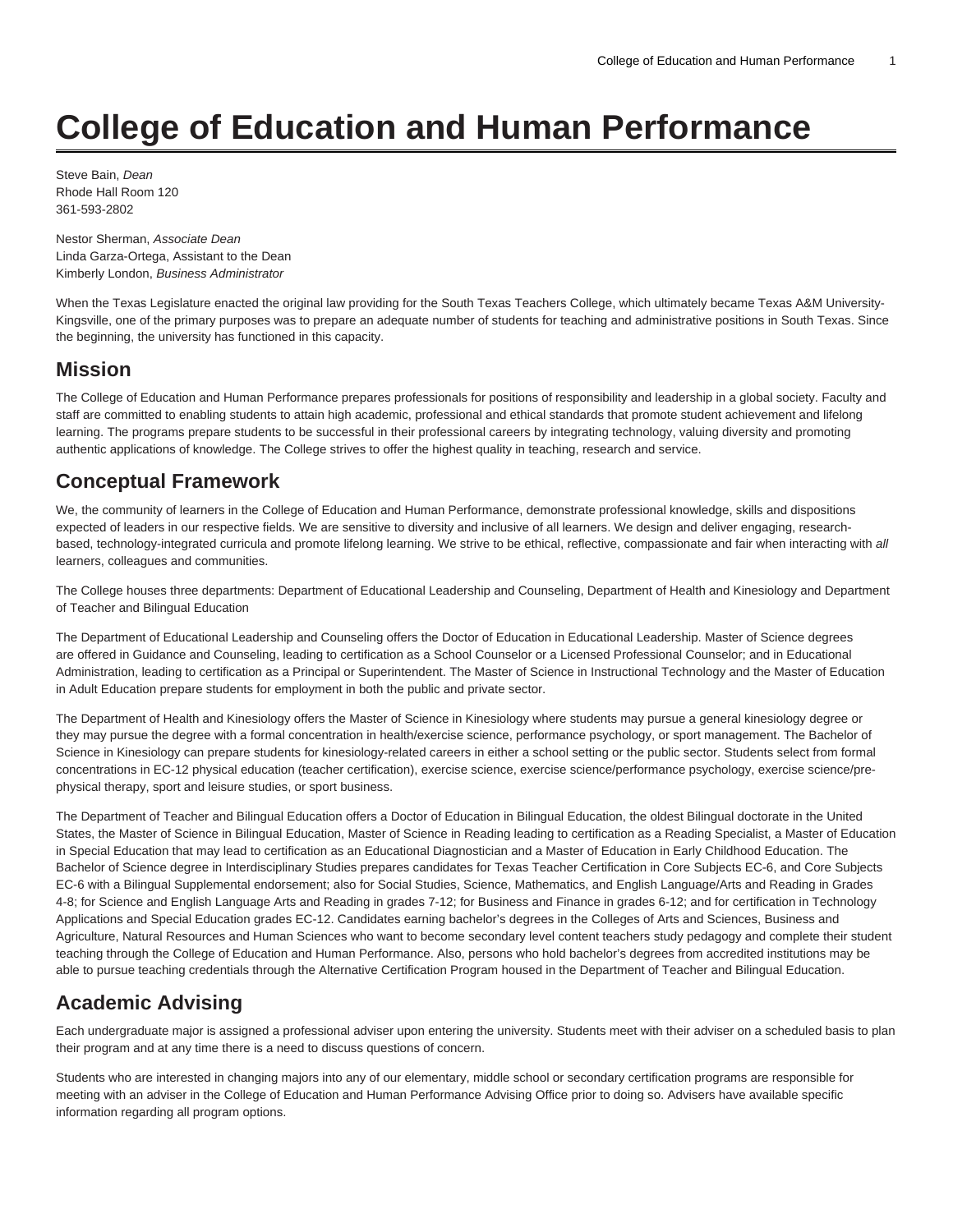# **College of Education and Human Performance**

Steve Bain, Dean Rhode Hall Room 120 361-593-2802

Nestor Sherman, Associate Dean Linda Garza-Ortega, Assistant to the Dean Kimberly London, Business Administrator

When the Texas Legislature enacted the original law providing for the South Texas Teachers College, which ultimately became Texas A&M University-Kingsville, one of the primary purposes was to prepare an adequate number of students for teaching and administrative positions in South Texas. Since the beginning, the university has functioned in this capacity.

# **Mission**

The College of Education and Human Performance prepares professionals for positions of responsibility and leadership in a global society. Faculty and staff are committed to enabling students to attain high academic, professional and ethical standards that promote student achievement and lifelong learning. The programs prepare students to be successful in their professional careers by integrating technology, valuing diversity and promoting authentic applications of knowledge. The College strives to offer the highest quality in teaching, research and service.

# **Conceptual Framework**

We, the community of learners in the College of Education and Human Performance, demonstrate professional knowledge, skills and dispositions expected of leaders in our respective fields. We are sensitive to diversity and inclusive of all learners. We design and deliver engaging, researchbased, technology-integrated curricula and promote lifelong learning. We strive to be ethical, reflective, compassionate and fair when interacting with all learners, colleagues and communities.

The College houses three departments: Department of Educational Leadership and Counseling, Department of Health and Kinesiology and Department of Teacher and Bilingual Education

The Department of Educational Leadership and Counseling offers the Doctor of Education in Educational Leadership. Master of Science degrees are offered in Guidance and Counseling, leading to certification as a School Counselor or a Licensed Professional Counselor; and in Educational Administration, leading to certification as a Principal or Superintendent. The Master of Science in Instructional Technology and the Master of Education in Adult Education prepare students for employment in both the public and private sector.

The Department of Health and Kinesiology offers the Master of Science in Kinesiology where students may pursue a general kinesiology degree or they may pursue the degree with a formal concentration in health/exercise science, performance psychology, or sport management. The Bachelor of Science in Kinesiology can prepare students for kinesiology-related careers in either a school setting or the public sector. Students select from formal concentrations in EC-12 physical education (teacher certification), exercise science, exercise science/performance psychology, exercise science/prephysical therapy, sport and leisure studies, or sport business.

The Department of Teacher and Bilingual Education offers a Doctor of Education in Bilingual Education, the oldest Bilingual doctorate in the United States, the Master of Science in Bilingual Education, Master of Science in Reading leading to certification as a Reading Specialist, a Master of Education in Special Education that may lead to certification as an Educational Diagnostician and a Master of Education in Early Childhood Education. The Bachelor of Science degree in Interdisciplinary Studies prepares candidates for Texas Teacher Certification in Core Subjects EC-6, and Core Subjects EC-6 with a Bilingual Supplemental endorsement; also for Social Studies, Science, Mathematics, and English Language/Arts and Reading in Grades 4-8; for Science and English Language Arts and Reading in grades 7-12; for Business and Finance in grades 6-12; and for certification in Technology Applications and Special Education grades EC-12. Candidates earning bachelor's degrees in the Colleges of Arts and Sciences, Business and Agriculture, Natural Resources and Human Sciences who want to become secondary level content teachers study pedagogy and complete their student teaching through the College of Education and Human Performance. Also, persons who hold bachelor's degrees from accredited institutions may be able to pursue teaching credentials through the Alternative Certification Program housed in the Department of Teacher and Bilingual Education.

# **Academic Advising**

Each undergraduate major is assigned a professional adviser upon entering the university. Students meet with their adviser on a scheduled basis to plan their program and at any time there is a need to discuss questions of concern.

Students who are interested in changing majors into any of our elementary, middle school or secondary certification programs are responsible for meeting with an adviser in the College of Education and Human Performance Advising Office prior to doing so. Advisers have available specific information regarding all program options.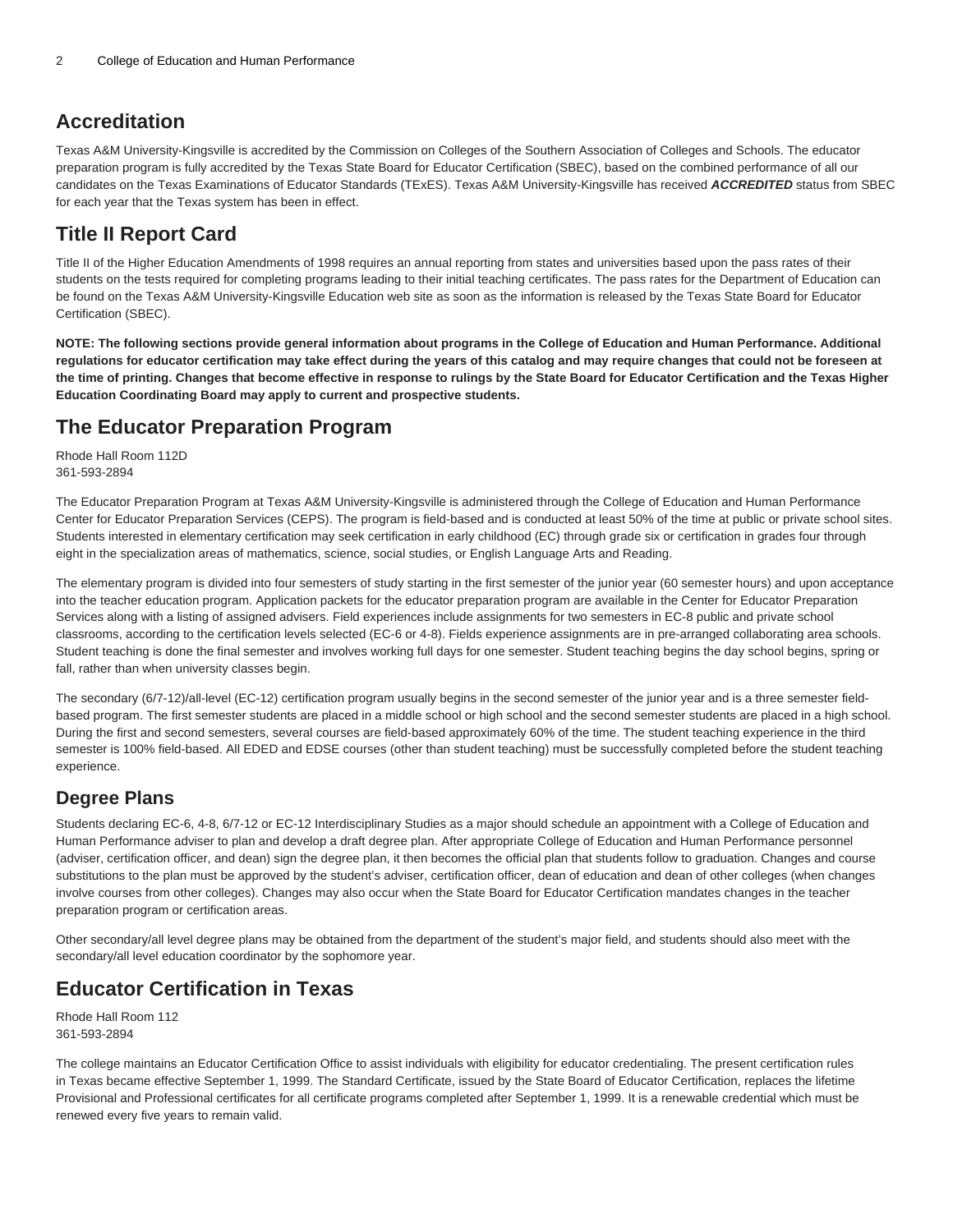# **Accreditation**

Texas A&M University-Kingsville is accredited by the Commission on Colleges of the Southern Association of Colleges and Schools. The educator preparation program is fully accredited by the Texas State Board for Educator Certification (SBEC), based on the combined performance of all our candidates on the Texas Examinations of Educator Standards (TExES). Texas A&M University-Kingsville has received **ACCREDITED** status from SBEC for each year that the Texas system has been in effect.

# **Title II Report Card**

Title II of the Higher Education Amendments of 1998 requires an annual reporting from states and universities based upon the pass rates of their students on the tests required for completing programs leading to their initial teaching certificates. The pass rates for the Department of Education can be found on the Texas A&M University-Kingsville Education web site as soon as the information is released by the Texas State Board for Educator Certification (SBEC).

**NOTE: The following sections provide general information about programs in the College of Education and Human Performance. Additional regulations for educator certification may take effect during the years of this catalog and may require changes that could not be foreseen at the time of printing. Changes that become effective in response to rulings by the State Board for Educator Certification and the Texas Higher Education Coordinating Board may apply to current and prospective students.**

# **The Educator Preparation Program**

Rhode Hall Room 112D 361-593-2894

The Educator Preparation Program at Texas A&M University-Kingsville is administered through the College of Education and Human Performance Center for Educator Preparation Services (CEPS). The program is field-based and is conducted at least 50% of the time at public or private school sites. Students interested in elementary certification may seek certification in early childhood (EC) through grade six or certification in grades four through eight in the specialization areas of mathematics, science, social studies, or English Language Arts and Reading.

The elementary program is divided into four semesters of study starting in the first semester of the junior year (60 semester hours) and upon acceptance into the teacher education program. Application packets for the educator preparation program are available in the Center for Educator Preparation Services along with a listing of assigned advisers. Field experiences include assignments for two semesters in EC-8 public and private school classrooms, according to the certification levels selected (EC-6 or 4-8). Fields experience assignments are in pre-arranged collaborating area schools. Student teaching is done the final semester and involves working full days for one semester. Student teaching begins the day school begins, spring or fall, rather than when university classes begin.

The secondary (6/7-12)/all-level (EC-12) certification program usually begins in the second semester of the junior year and is a three semester fieldbased program. The first semester students are placed in a middle school or high school and the second semester students are placed in a high school. During the first and second semesters, several courses are field-based approximately 60% of the time. The student teaching experience in the third semester is 100% field-based. All EDED and EDSE courses (other than student teaching) must be successfully completed before the student teaching experience.

# **Degree Plans**

Students declaring EC-6, 4-8, 6/7-12 or EC-12 Interdisciplinary Studies as a major should schedule an appointment with a College of Education and Human Performance adviser to plan and develop a draft degree plan. After appropriate College of Education and Human Performance personnel (adviser, certification officer, and dean) sign the degree plan, it then becomes the official plan that students follow to graduation. Changes and course substitutions to the plan must be approved by the student's adviser, certification officer, dean of education and dean of other colleges (when changes involve courses from other colleges). Changes may also occur when the State Board for Educator Certification mandates changes in the teacher preparation program or certification areas.

Other secondary/all level degree plans may be obtained from the department of the student's major field, and students should also meet with the secondary/all level education coordinator by the sophomore year.

# **Educator Certification in Texas**

Rhode Hall Room 112 361-593-2894

The college maintains an Educator Certification Office to assist individuals with eligibility for educator credentialing. The present certification rules in Texas became effective September 1, 1999. The Standard Certificate, issued by the State Board of Educator Certification, replaces the lifetime Provisional and Professional certificates for all certificate programs completed after September 1, 1999. It is a renewable credential which must be renewed every five years to remain valid.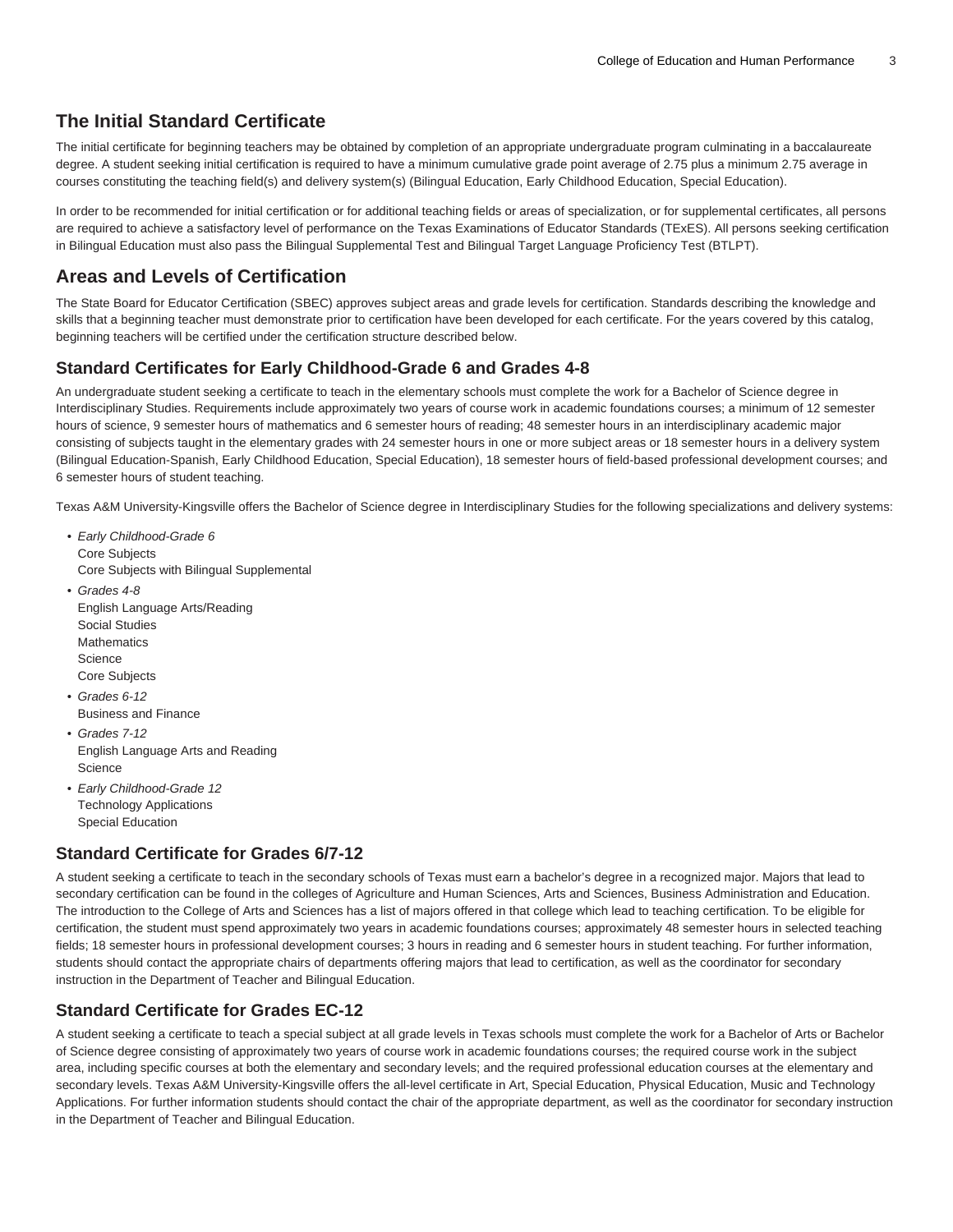# **The Initial Standard Certificate**

The initial certificate for beginning teachers may be obtained by completion of an appropriate undergraduate program culminating in a baccalaureate degree. A student seeking initial certification is required to have a minimum cumulative grade point average of 2.75 plus a minimum 2.75 average in courses constituting the teaching field(s) and delivery system(s) (Bilingual Education, Early Childhood Education, Special Education).

In order to be recommended for initial certification or for additional teaching fields or areas of specialization, or for supplemental certificates, all persons are required to achieve a satisfactory level of performance on the Texas Examinations of Educator Standards (TExES). All persons seeking certification in Bilingual Education must also pass the Bilingual Supplemental Test and Bilingual Target Language Proficiency Test (BTLPT).

# **Areas and Levels of Certification**

The State Board for Educator Certification (SBEC) approves subject areas and grade levels for certification. Standards describing the knowledge and skills that a beginning teacher must demonstrate prior to certification have been developed for each certificate. For the years covered by this catalog, beginning teachers will be certified under the certification structure described below.

### **Standard Certificates for Early Childhood-Grade 6 and Grades 4-8**

An undergraduate student seeking a certificate to teach in the elementary schools must complete the work for a Bachelor of Science degree in Interdisciplinary Studies. Requirements include approximately two years of course work in academic foundations courses; a minimum of 12 semester hours of science, 9 semester hours of mathematics and 6 semester hours of reading; 48 semester hours in an interdisciplinary academic major consisting of subjects taught in the elementary grades with 24 semester hours in one or more subject areas or 18 semester hours in a delivery system (Bilingual Education-Spanish, Early Childhood Education, Special Education), 18 semester hours of field-based professional development courses; and 6 semester hours of student teaching.

Texas A&M University-Kingsville offers the Bachelor of Science degree in Interdisciplinary Studies for the following specializations and delivery systems:

- Early Childhood-Grade 6 Core Subjects Core Subjects with Bilingual Supplemental
- Grades 4-8 English Language Arts/Reading Social Studies **Mathematics** Science Core Subjects
- Grades 6-12 Business and Finance
- Grades 7-12 English Language Arts and Reading **Science**
- Early Childhood-Grade 12 Technology Applications Special Education

### **Standard Certificate for Grades 6/7-12**

A student seeking a certificate to teach in the secondary schools of Texas must earn a bachelor's degree in a recognized major. Majors that lead to secondary certification can be found in the colleges of Agriculture and Human Sciences, Arts and Sciences, Business Administration and Education. The introduction to the College of Arts and Sciences has a list of majors offered in that college which lead to teaching certification. To be eligible for certification, the student must spend approximately two years in academic foundations courses; approximately 48 semester hours in selected teaching fields; 18 semester hours in professional development courses; 3 hours in reading and 6 semester hours in student teaching. For further information, students should contact the appropriate chairs of departments offering majors that lead to certification, as well as the coordinator for secondary instruction in the Department of Teacher and Bilingual Education.

### **Standard Certificate for Grades EC-12**

A student seeking a certificate to teach a special subject at all grade levels in Texas schools must complete the work for a Bachelor of Arts or Bachelor of Science degree consisting of approximately two years of course work in academic foundations courses; the required course work in the subject area, including specific courses at both the elementary and secondary levels; and the required professional education courses at the elementary and secondary levels. Texas A&M University-Kingsville offers the all-level certificate in Art, Special Education, Physical Education, Music and Technology Applications. For further information students should contact the chair of the appropriate department, as well as the coordinator for secondary instruction in the Department of Teacher and Bilingual Education.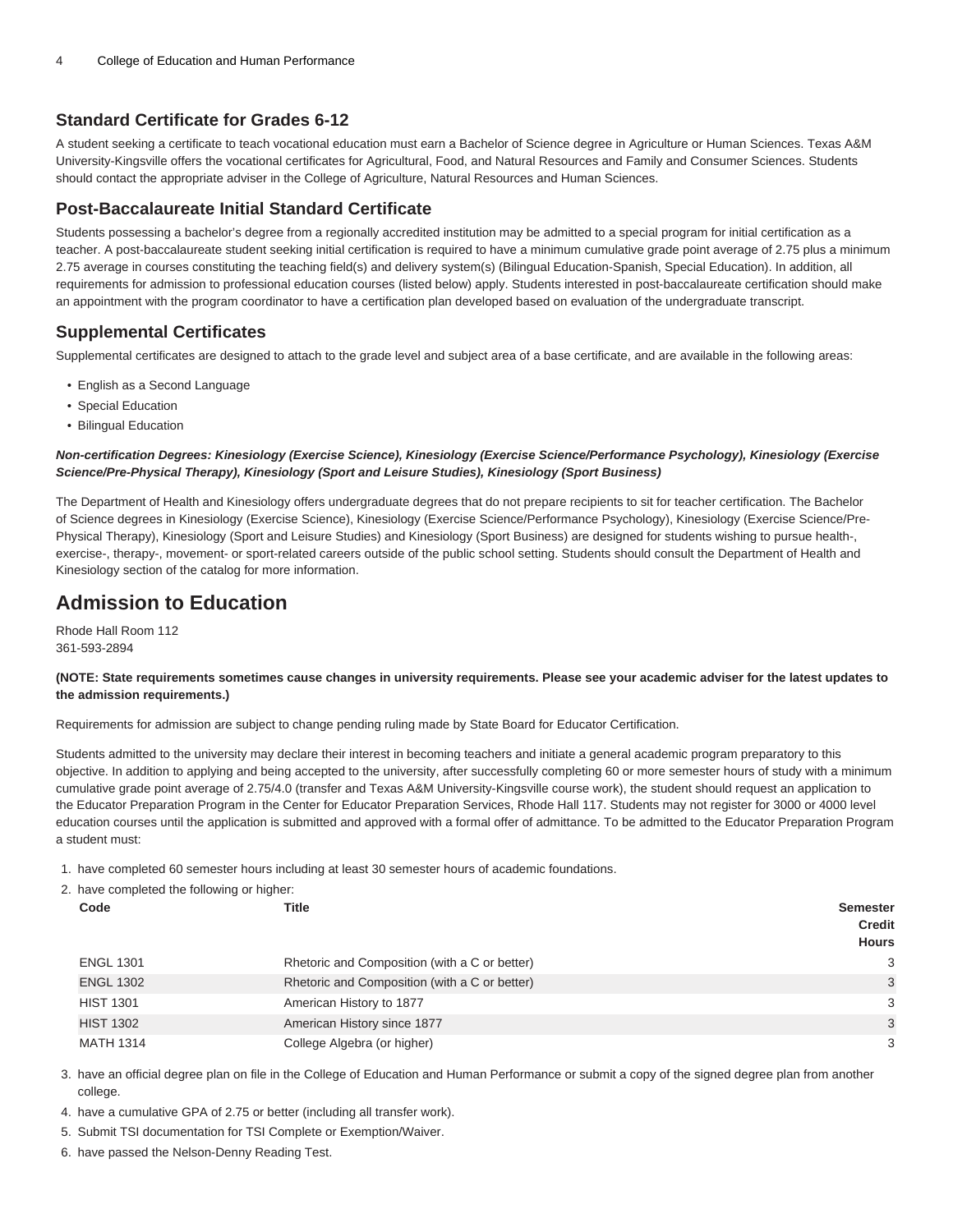### **Standard Certificate for Grades 6-12**

A student seeking a certificate to teach vocational education must earn a Bachelor of Science degree in Agriculture or Human Sciences. Texas A&M University-Kingsville offers the vocational certificates for Agricultural, Food, and Natural Resources and Family and Consumer Sciences. Students should contact the appropriate adviser in the College of Agriculture, Natural Resources and Human Sciences.

### **Post-Baccalaureate Initial Standard Certificate**

Students possessing a bachelor's degree from a regionally accredited institution may be admitted to a special program for initial certification as a teacher. A post-baccalaureate student seeking initial certification is required to have a minimum cumulative grade point average of 2.75 plus a minimum 2.75 average in courses constituting the teaching field(s) and delivery system(s) (Bilingual Education-Spanish, Special Education). In addition, all requirements for admission to professional education courses (listed below) apply. Students interested in post-baccalaureate certification should make an appointment with the program coordinator to have a certification plan developed based on evaluation of the undergraduate transcript.

### **Supplemental Certificates**

Supplemental certificates are designed to attach to the grade level and subject area of a base certificate, and are available in the following areas:

- English as a Second Language
- Special Education
- Bilingual Education

#### **Non-certification Degrees: Kinesiology (Exercise Science), Kinesiology (Exercise Science/Performance Psychology), Kinesiology (Exercise Science/Pre-Physical Therapy), Kinesiology (Sport and Leisure Studies), Kinesiology (Sport Business)**

The Department of Health and Kinesiology offers undergraduate degrees that do not prepare recipients to sit for teacher certification. The Bachelor of Science degrees in Kinesiology (Exercise Science), Kinesiology (Exercise Science/Performance Psychology), Kinesiology (Exercise Science/Pre-Physical Therapy), Kinesiology (Sport and Leisure Studies) and Kinesiology (Sport Business) are designed for students wishing to pursue health-, exercise-, therapy-, movement- or sport-related careers outside of the public school setting. Students should consult the Department of Health and Kinesiology section of the catalog for more information.

# **Admission to Education**

Rhode Hall Room 112 361-593-2894

#### **(NOTE: State requirements sometimes cause changes in university requirements. Please see your academic adviser for the latest updates to the admission requirements.)**

Requirements for admission are subject to change pending ruling made by State Board for Educator Certification.

Students admitted to the university may declare their interest in becoming teachers and initiate a general academic program preparatory to this objective. In addition to applying and being accepted to the university, after successfully completing 60 or more semester hours of study with a minimum cumulative grade point average of 2.75/4.0 (transfer and Texas A&M University-Kingsville course work), the student should request an application to the Educator Preparation Program in the Center for Educator Preparation Services, Rhode Hall 117. Students may not register for 3000 or 4000 level education courses until the application is submitted and approved with a formal offer of admittance. To be admitted to the Educator Preparation Program a student must:

- 1. have completed 60 semester hours including at least 30 semester hours of academic foundations.
- 2. have completed the following or higher:

| Code             | Title                                         | <b>Semester</b><br><b>Credit</b><br><b>Hours</b> |
|------------------|-----------------------------------------------|--------------------------------------------------|
| <b>ENGL 1301</b> | Rhetoric and Composition (with a C or better) | 3                                                |
| <b>ENGL 1302</b> | Rhetoric and Composition (with a C or better) | 3                                                |
| <b>HIST 1301</b> | American History to 1877                      | 3                                                |
| <b>HIST 1302</b> | American History since 1877                   | 3                                                |
| <b>MATH 1314</b> | College Algebra (or higher)                   | 3                                                |

- 3. have an official degree plan on file in the College of Education and Human Performance or submit a copy of the signed degree plan from another college.
- 4. have a cumulative GPA of 2.75 or better (including all transfer work).
- 5. Submit TSI documentation for TSI Complete or Exemption/Waiver.
- 6. have passed the Nelson-Denny Reading Test.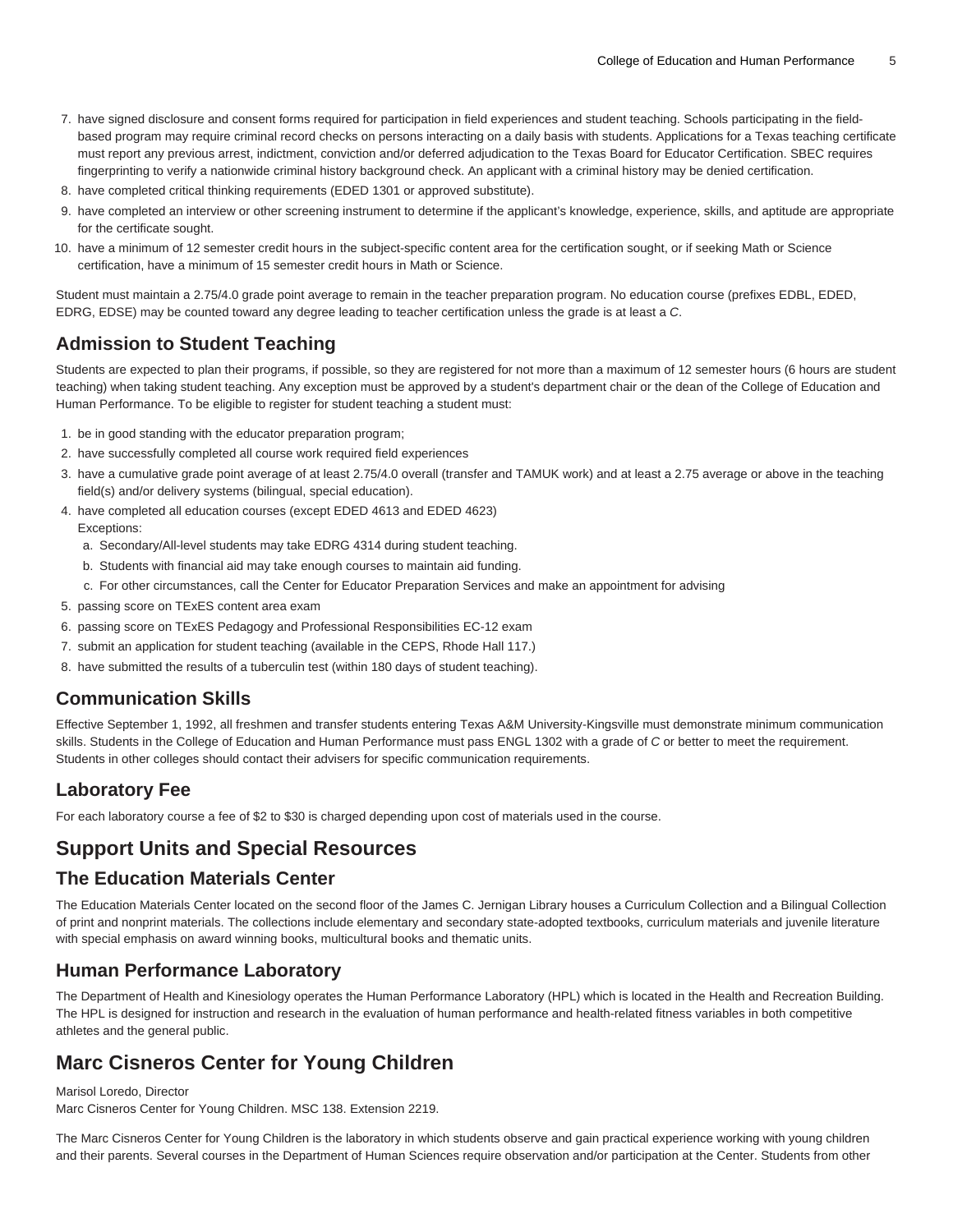- 7. have signed disclosure and consent forms required for participation in field experiences and student teaching. Schools participating in the fieldbased program may require criminal record checks on persons interacting on a daily basis with students. Applications for a Texas teaching certificate must report any previous arrest, indictment, conviction and/or deferred adjudication to the Texas Board for Educator Certification. SBEC requires fingerprinting to verify a nationwide criminal history background check. An applicant with a criminal history may be denied certification.
- 8. have completed critical thinking requirements (EDED 1301 or approved substitute).
- 9. have completed an interview or other screening instrument to determine if the applicant's knowledge, experience, skills, and aptitude are appropriate for the certificate sought.
- 10. have a minimum of 12 semester credit hours in the subject-specific content area for the certification sought, or if seeking Math or Science certification, have a minimum of 15 semester credit hours in Math or Science.

Student must maintain a 2.75/4.0 grade point average to remain in the teacher preparation program. No education course (prefixes EDBL, EDED, EDRG, EDSE) may be counted toward any degree leading to teacher certification unless the grade is at least a C.

# **Admission to Student Teaching**

Students are expected to plan their programs, if possible, so they are registered for not more than a maximum of 12 semester hours (6 hours are student teaching) when taking student teaching. Any exception must be approved by a student's department chair or the dean of the College of Education and Human Performance. To be eligible to register for student teaching a student must:

- 1. be in good standing with the educator preparation program;
- 2. have successfully completed all course work required field experiences
- 3. have a cumulative grade point average of at least 2.75/4.0 overall (transfer and TAMUK work) and at least a 2.75 average or above in the teaching field(s) and/or delivery systems (bilingual, special education).
- 4. have completed all education courses (except EDED 4613 and EDED 4623) Exceptions:
	- a. Secondary/All-level students may take EDRG 4314 during student teaching.
	- b. Students with financial aid may take enough courses to maintain aid funding.
	- c. For other circumstances, call the Center for Educator Preparation Services and make an appointment for advising
- 5. passing score on TExES content area exam
- 6. passing score on TExES Pedagogy and Professional Responsibilities EC-12 exam
- 7. submit an application for student teaching (available in the CEPS, Rhode Hall 117.)
- 8. have submitted the results of a tuberculin test (within 180 days of student teaching).

### **Communication Skills**

Effective September 1, 1992, all freshmen and transfer students entering Texas A&M University-Kingsville must demonstrate minimum communication skills. Students in the College of Education and Human Performance must pass ENGL 1302 with a grade of C or better to meet the requirement. Students in other colleges should contact their advisers for specific communication requirements.

### **Laboratory Fee**

For each laboratory course a fee of \$2 to \$30 is charged depending upon cost of materials used in the course.

# **Support Units and Special Resources**

### **The Education Materials Center**

The Education Materials Center located on the second floor of the James C. Jernigan Library houses a Curriculum Collection and a Bilingual Collection of print and nonprint materials. The collections include elementary and secondary state-adopted textbooks, curriculum materials and juvenile literature with special emphasis on award winning books, multicultural books and thematic units.

### **Human Performance Laboratory**

The Department of Health and Kinesiology operates the Human Performance Laboratory (HPL) which is located in the Health and Recreation Building. The HPL is designed for instruction and research in the evaluation of human performance and health-related fitness variables in both competitive athletes and the general public.

# **Marc Cisneros Center for Young Children**

#### Marisol Loredo, Director

Marc Cisneros Center for Young Children. MSC 138. Extension 2219.

The Marc Cisneros Center for Young Children is the laboratory in which students observe and gain practical experience working with young children and their parents. Several courses in the Department of Human Sciences require observation and/or participation at the Center. Students from other